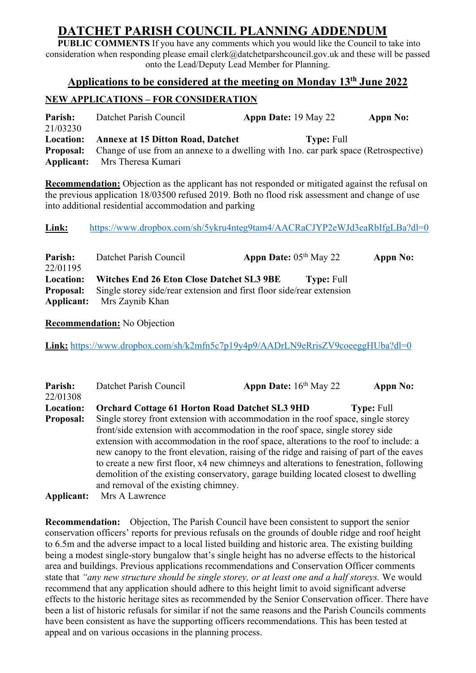# **DATCHET PARISH COUNCIL PLANNING ADDENDUM**

**PUBLIC COMMENTS** If you have any comments which you would like the Council to take into consideration when responding please email clerk@datchetparshcouncil.gov.uk and these will be passed onto the Lead/Deputy Lead Member for Planning.

## **Applications to be considered at the meeting on Monday 13th June 2022**

# **NEW APPLICATIONS – FOR CONSIDERATION**

**Parish:** Datchet Parish Council **Appn Date:** 19 May 22 **Appn No:** 21/03230 **Location: Annexe at 15 Ditton Road, Datchet Type:** Full **Proposal:** Change of use from an annexe to a dwelling with 1no. car park space (Retrospective) **Applicant:** Mrs Theresa Kumari

**Recommendation:** Objection as the applicant has not responded or mitigated against the refusal on the previous application 18/03500 refused 2019. Both no flood risk assessment and change of use into additional residential accommodation and parking

Link: https://www.dropbox.com/sh/5ykru4nteg9tam4/AACRaCJYP2eWJd3eaRbIfgLBa?dl=0

| Parish:<br>22/01195 | Datchet Parish Council                                                                 | <b>Appn Date:</b> $05th$ May 22 |                   | Appn No: |
|---------------------|----------------------------------------------------------------------------------------|---------------------------------|-------------------|----------|
| Location:           | Witches End 26 Eton Close Datchet SL3 9BE                                              |                                 | <b>Type: Full</b> |          |
|                     | <b>Proposal:</b> Single storey side/rear extension and first floor side/rear extension |                                 |                   |          |
|                     | <b>Applicant:</b> Mrs Zaynib Khan                                                      |                                 |                   |          |

**Recommendation:** No Objection

Link: https://www.dropbox.com/sh/k2mfn5c7p19y4p9/AADrLN9eRrisZV9coeeggHUba?dl=0

| Parish:<br>22/01308 | Datchet Parish Council                                 | Appn Date: 16th May 22                                                                                                                                                                                                                                                                                                                                                                                                                                                                                                                     | Appn No:          |  |
|---------------------|--------------------------------------------------------|--------------------------------------------------------------------------------------------------------------------------------------------------------------------------------------------------------------------------------------------------------------------------------------------------------------------------------------------------------------------------------------------------------------------------------------------------------------------------------------------------------------------------------------------|-------------------|--|
| Location:           | <b>Orchard Cottage 61 Horton Road Datchet SL3 9HD</b>  |                                                                                                                                                                                                                                                                                                                                                                                                                                                                                                                                            | <b>Type: Full</b> |  |
| <b>Proposal:</b>    |                                                        | Single storey front extension with accommodation in the roof space, single storey<br>front/side extension with accommodation in the roof space, single storey side<br>extension with accommodation in the roof space, alterations to the roof to include: a<br>new canopy to the front elevation, raising of the ridge and raising of part of the eaves<br>to create a new first floor, x4 new chimneys and alterations to fenestration, following<br>demolition of the existing conservatory, garage building located closest to dwelling |                   |  |
| Applicant:          | and removal of the existing chimney.<br>Mrs A Lawrence |                                                                                                                                                                                                                                                                                                                                                                                                                                                                                                                                            |                   |  |

**Recommendation:** Objection, The Parish Council have been consistent to support the senior conservation officers' reports for previous refusals on the grounds of double ridge and roof height to 6.5m and the adverse impact to a local listed building and historic area. The existing building being a modest single-story bungalow that's single height has no adverse effects to the historical area and buildings. Previous applications recommendations and Conservation Officer comments state that *"any new structure should be single storey, or at least one and a half storeys.* We would recommend that any application should adhere to this height limit to avoid significant adverse effects to the historic heritage sites as recommended by the Senior Conservation officer. There have been a list of historic refusals for similar if not the same reasons and the Parish Councils comments have been consistent as have the supporting officers recommendations. This has been tested at appeal and on various occasions in the planning process.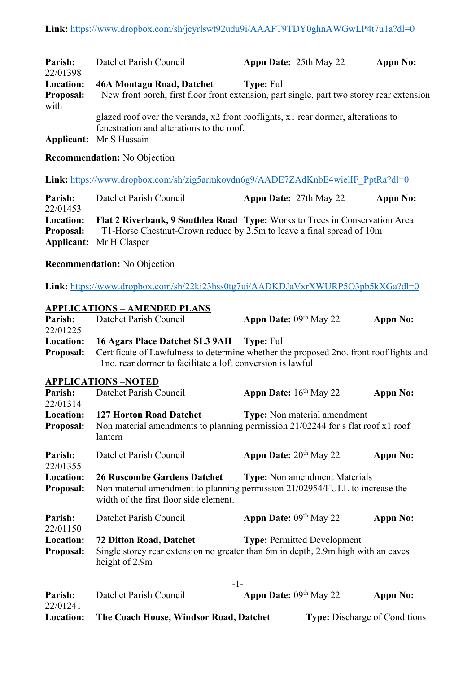| Parish:                  | Datchet Parish Council                                                                                                         | <b>Appn Date: 25th May 22</b> | Appn No: |  |  |
|--------------------------|--------------------------------------------------------------------------------------------------------------------------------|-------------------------------|----------|--|--|
| 22/01398                 |                                                                                                                                |                               |          |  |  |
| <b>Location:</b>         | 46A Montagu Road, Datchet                                                                                                      | <b>Type: Full</b>             |          |  |  |
| <b>Proposal:</b><br>with | New front porch, first floor front extension, part single, part two storey rear extension                                      |                               |          |  |  |
|                          | glazed roof over the veranda, x2 front rooflights, x1 rear dormer, alterations to<br>fenestration and alterations to the roof. |                               |          |  |  |
|                          | <b>Applicant:</b> Mr S Hussain                                                                                                 |                               |          |  |  |

#### **Recommendation:** No Objection

Link: https://www.dropbox.com/sh/zig5armkoydn6g9/AADE7ZAdKnbE4wielIF\_PptRa?dl=0

**Parish:** Datchet Parish Council **Appn Date:** 27th May 22 **Appn No:** 22/01453 **Location: Flat 2 Riverbank, 9 Southlea Road Type:** Works to Trees in Conservation Area **Proposal:** T1-Horse Chestnut-Crown reduce by 2.5m to leave a final spread of 10m **Applicant:** Mr H Clasper

#### **Recommendation:** No Objection

**Link:** https://www.dropbox.com/sh/22ki23hss0tg7ui/AADKDJaVxrXWURP5O3pb5kXGa?dl=0

# **APPLICATIONS – AMENDED PLANS Parish:** Datchet Parish Council **Appn Date:** 09<sup>th</sup> May 22 **Appn No:** 22/01225 **Location: 16 Agars Place Datchet SL3 9AH Type:** Full **Proposal:** Certificate of Lawfulness to determine whether the proposed 2no. front roof lights and 1no. rear dormer to facilitate a loft conversion is lawful. **APPLICATIONS –NOTED Parish:** Datchet Parish Council **Appn Date:**  $16^{th}$  May 22 **Appn No:** 22/01314 **Location: 127 Horton Road Datchet Type:** Non material amendment **Proposal:** Non material amendments to planning permission 21/02244 for s flat roof x1 roof lantern **Parish:** Datchet Parish Council **Appn Date:**  $20^{th}$  May 22 **Appn No:** 22/01355 **Location: 26 Ruscombe Gardens Datchet Type:** Non amendment Materials **Proposal:** Non material amendment to planning permission 21/02954/FULL to increase the width of the first floor side element. **Parish:** Datchet Parish Council **Appn Date:** 09<sup>th</sup> May 22 **Appn No:** 22/01150 **Location: 72 Ditton Road, Datchet Type:** Permitted Development **Proposal:** Single storey rear extension no greater than 6m in depth, 2.9m high with an eaves height of 2.9m -1- **Parish:** Datchet Parish Council **Appn Date:** 09<sup>th</sup> May 22 **Appn No:** 22/01241

**Location:** The Coach House, Windsor Road, Datchet Type: Discharge of Conditions